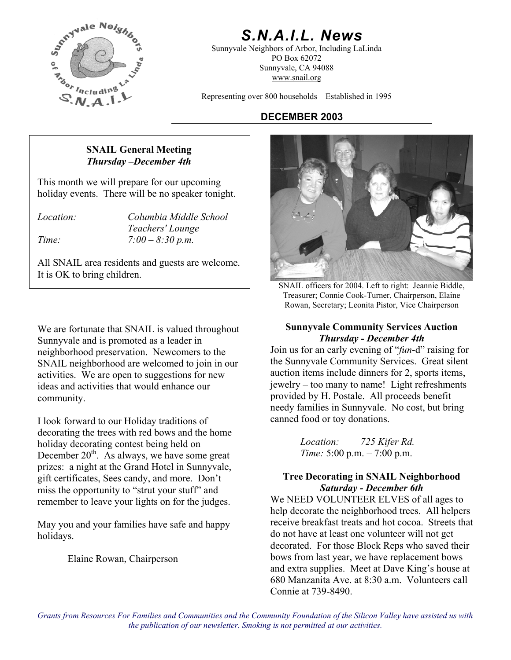

# *S.N.A.I.L. News*

Sunnyvale Neighbors of Arbor, Including LaLinda PO Box 62072 Sunnyvale, CA 94088 www.snail.org

Representing over 800 households Established in 1995

# **DECEMBER 2003**

# **SNAIL General Meeting**  *Thursday –December 4th*

This month we will prepare for our upcoming holiday events. There will be no speaker tonight.

*Location: Columbia Middle School Teachers' Lounge Time: 7:00 – 8:30 p.m.* 

All SNAIL area residents and guests are welcome. It is OK to bring children.

We are fortunate that SNAIL is valued throughout **Sunnyvale Community Services Auction** Sunnyvale and is promoted as a leader in neighborhood preservation. Newcomers to the SNAIL neighborhood are welcomed to join in our activities. We are open to suggestions for new ideas and activities that would enhance our community.

canned food or toy donations. I look forward to our Holiday traditions of decorating the trees with red bows and the home holiday decorating contest being held on December  $20^{th}$ . As always, we have some great prizes: a night at the Grand Hotel in Sunnyvale, gift certificates, Sees candy, and more. Don't miss the opportunity to "strut your stuff" and remember to leave your lights on for the judges.

May you and your families have safe and happy holidays.

Elaine Rowan, Chairperson



SNAIL officers for 2004. Left to right: Jeannie Biddle, Treasurer; Connie Cook-Turner, Chairperson, Elaine Rowan, Secretary; Leonita Pistor, Vice Chairperson

# *Thursday - December 4th*

Join us for an early evening of "*fun*-d" raising for the Sunnyvale Community Services. Great silent auction items include dinners for 2, sports items, jewelry – too many to name! Light refreshments provided by H. Postale. All proceeds benefit needy families in Sunnyvale. No cost, but bring

> *Location: 725 Kifer Rd. Time:* 5:00 p.m. – 7:00 p.m.

## **Tree Decorating in SNAIL Neighborhood**  *Saturday - December 6th*

We NEED VOLUNTEER ELVES of all ages to help decorate the neighborhood trees. All helpers receive breakfast treats and hot cocoa. Streets that do not have at least one volunteer will not get decorated. For those Block Reps who saved their bows from last year, we have replacement bows and extra supplies. Meet at Dave King's house at 680 Manzanita Ave. at 8:30 a.m. Volunteers call Connie at 739-8490.

*Grants from Resources For Families and Communities and the Community Foundation of the Silicon Valley have assisted us with the publication of our newsletter. Smoking is not permitted at our activities.*